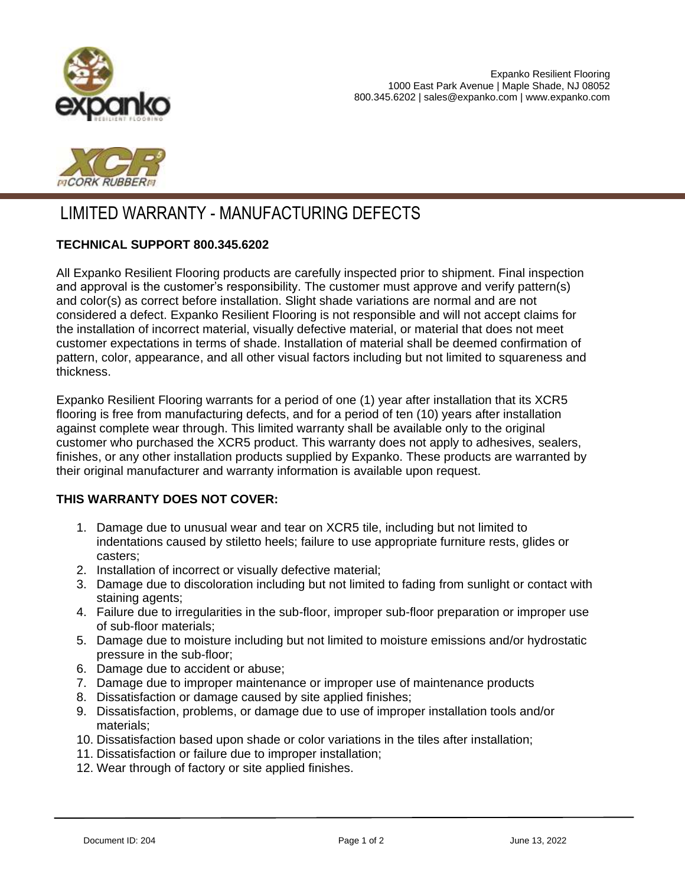



# LIMITED WARRANTY - MANUFACTURING DEFECTS

## **TECHNICAL SUPPORT 800.345.6202**

All Expanko Resilient Flooring products are carefully inspected prior to shipment. Final inspection and approval is the customer's responsibility. The customer must approve and verify pattern(s) and color(s) as correct before installation. Slight shade variations are normal and are not considered a defect. Expanko Resilient Flooring is not responsible and will not accept claims for the installation of incorrect material, visually defective material, or material that does not meet customer expectations in terms of shade. Installation of material shall be deemed confirmation of pattern, color, appearance, and all other visual factors including but not limited to squareness and thickness.

Expanko Resilient Flooring warrants for a period of one (1) year after installation that its XCR5 flooring is free from manufacturing defects, and for a period of ten (10) years after installation against complete wear through. This limited warranty shall be available only to the original customer who purchased the XCR5 product. This warranty does not apply to adhesives, sealers, finishes, or any other installation products supplied by Expanko. These products are warranted by their original manufacturer and warranty information is available upon request.

#### **THIS WARRANTY DOES NOT COVER:**

- 1. Damage due to unusual wear and tear on XCR5 tile, including but not limited to indentations caused by stiletto heels; failure to use appropriate furniture rests, glides or casters;
- 2. Installation of incorrect or visually defective material;
- 3. Damage due to discoloration including but not limited to fading from sunlight or contact with staining agents;
- 4. Failure due to irregularities in the sub-floor, improper sub-floor preparation or improper use of sub-floor materials;
- 5. Damage due to moisture including but not limited to moisture emissions and/or hydrostatic pressure in the sub-floor;
- 6. Damage due to accident or abuse;
- 7. Damage due to improper maintenance or improper use of maintenance products
- 8. Dissatisfaction or damage caused by site applied finishes;
- 9. Dissatisfaction, problems, or damage due to use of improper installation tools and/or materials;
- 10. Dissatisfaction based upon shade or color variations in the tiles after installation;
- 11. Dissatisfaction or failure due to improper installation;
- 12. Wear through of factory or site applied finishes.